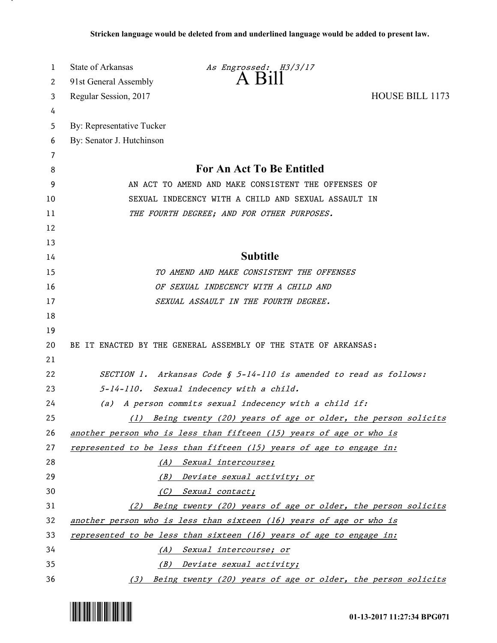| 1  | State of Arkansas<br>As Engrossed: H3/3/17                          |
|----|---------------------------------------------------------------------|
| 2  | $A$ $B111$<br>91st General Assembly                                 |
| 3  | HOUSE BILL 1173<br>Regular Session, 2017                            |
| 4  |                                                                     |
| 5  | By: Representative Tucker                                           |
| 6  | By: Senator J. Hutchinson                                           |
| 7  |                                                                     |
| 8  | <b>For An Act To Be Entitled</b>                                    |
| 9  | AN ACT TO AMEND AND MAKE CONSISTENT THE OFFENSES OF                 |
| 10 | SEXUAL INDECENCY WITH A CHILD AND SEXUAL ASSAULT IN                 |
| 11 | THE FOURTH DEGREE; AND FOR OTHER PURPOSES.                          |
| 12 |                                                                     |
| 13 |                                                                     |
| 14 | <b>Subtitle</b>                                                     |
| 15 | TO AMEND AND MAKE CONSISTENT THE OFFENSES                           |
| 16 | OF SEXUAL INDECENCY WITH A CHILD AND                                |
| 17 | SEXUAL ASSAULT IN THE FOURTH DEGREE.                                |
| 18 |                                                                     |
| 19 |                                                                     |
| 20 | BE IT ENACTED BY THE GENERAL ASSEMBLY OF THE STATE OF ARKANSAS:     |
| 21 |                                                                     |
| 22 | SECTION 1. Arkansas Code § 5-14-110 is amended to read as follows:  |
| 23 | 5-14-110. Sexual indecency with a child.                            |
| 24 | A person commits sexual indecency with a child if:<br>(a)           |
| 25 | Being twenty (20) years of age or older, the person solicits<br>(1) |
| 26 | another person who is less than fifteen (15) years of age or who is |
| 27 | represented to be less than fifteen (15) years of age to engage in: |
| 28 | (A) Sexual intercourse;                                             |
| 29 | (B) Deviate sexual activity; or                                     |
| 30 | (C) Sexual contact;                                                 |
| 31 | Being twenty (20) years of age or older, the person solicits<br>(2) |
| 32 | another person who is less than sixteen (16) years of age or who is |
| 33 | represented to be less than sixteen (16) years of age to engage in: |
| 34 | (A) Sexual intercourse; or                                          |
| 35 | (B) Deviate sexual activity;                                        |
| 36 | Being twenty (20) years of age or older, the person solicits<br>(3) |



.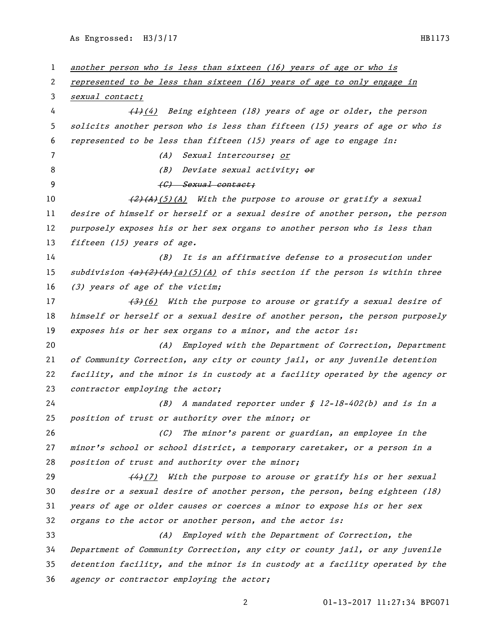As Engrossed: H3/3/17 HB1173

 another person who is less than sixteen (16) years of age or who is represented to be less than sixteen (16) years of age to only engage in sexual contact; 4 (1)(4) Being eighteen (18) years of age or older, the person solicits another person who is less than fifteen (15) years of age or who is represented to be less than fifteen (15) years of age to engage in: (A) Sexual intercourse; or 8 (B) Deviate sexual activity;  $\theta$ 9 (G) Sexual contact;  $\left(\frac{2}{4}\right)(A)$  (5)(A) With the purpose to arouse or gratify a sexual desire of himself or herself or a sexual desire of another person, the person purposely exposes his or her sex organs to another person who is less than 13 fifteen (15) years of age. (B) It is an affirmative defense to a prosecution under 15 subdivision  $(a)(2)(A)(a)(5)(A)$  of this section if the person is within three (3) years of age of the victim;  $\left(3\right)$  (6) With the purpose to arouse or gratify a sexual desire of 18 himself or herself or a sexual desire of another person, the person purposely 19 exposes his or her sex organs to a minor, and the actor is: (A) Employed with the Department of Correction, Department of Community Correction, any city or county jail, or any juvenile detention facility, and the minor is in custody at a facility operated by the agency or 23 contractor employing the actor; (B) A mandated reporter under § 12-18-402(b) and is in a position of trust or authority over the minor; or (C) The minor's parent or guardian, an employee in the minor's school or school district, a temporary caretaker, or a person in a *position of trust and authority over the minor;*  $(4)$  (7) With the purpose to arouse or gratify his or her sexual desire or a sexual desire of another person, the person, being eighteen (18) years of age or older causes or coerces a minor to expose his or her sex organs to the actor or another person, and the actor is: (A) Employed with the Department of Correction, the Department of Community Correction, any city or county jail, or any juvenile detention facility, and the minor is in custody at a facility operated by the agency or contractor employing the actor;

01-13-2017 11:27:34 BPG071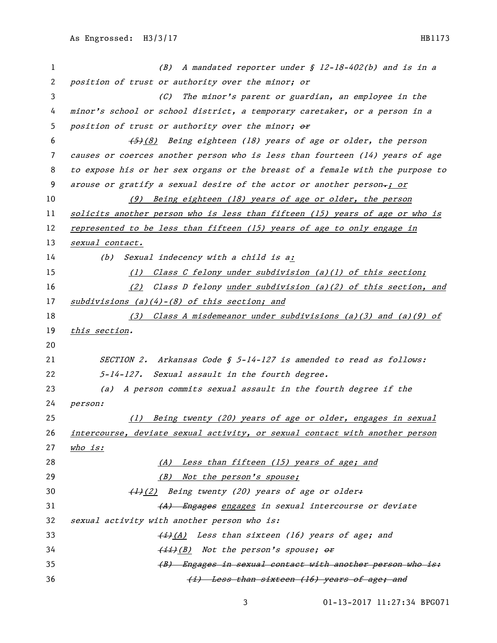| 1  | (B) A mandated reporter under $$ 12-18-402(b)$ and is in a                    |
|----|-------------------------------------------------------------------------------|
| 2  | position of trust or authority over the minor; or                             |
| 3  | The minor's parent or guardian, an employee in the<br>(C)                     |
| 4  | minor's school or school district, a temporary caretaker, or a person in a    |
| 5  | position of trust or authority over the minor; or                             |
| 6  | (5) (8) Being eighteen (18) years of age or older, the person                 |
| 7  | causes or coerces another person who is less than fourteen (14) years of age  |
| 8  | to expose his or her sex organs or the breast of a female with the purpose to |
| 9  | arouse or gratify a sexual desire of the actor or another person-; or         |
| 10 | (9) Being eighteen (18) years of age or older, the person                     |
| 11 | solicits another person who is less than fifteen (15) years of age or who is  |
| 12 | represented to be less than fifteen (15) years of age to only engage in       |
| 13 | sexual contact.                                                               |
| 14 | Sexual indecency with a child is a:<br>(b)                                    |
| 15 | Class C felony under subdivision (a)(1) of this section;<br>(1)               |
| 16 | (2) Class D felony under subdivision (a)(2) of this section, and              |
| 17 | $subdivisions$ (a)(4)-(8) of this section; and                                |
| 18 | (3) Class A misdemeanor under subdivisions (a)(3) and (a)(9) of               |
| 19 | this section.                                                                 |
| 20 |                                                                               |
| 21 | SECTION 2. Arkansas Code § 5-14-127 is amended to read as follows:            |
| 22 | 5-14-127. Sexual assault in the fourth degree.                                |
| 23 | A person commits sexual assault in the fourth degree if the<br>(a)            |
| 24 | person:                                                                       |
| 25 | Being twenty (20) years of age or older, engages in sexual<br>(1)             |
| 26 | intercourse, deviate sexual activity, or sexual contact with another person   |
| 27 | <u>who is:</u>                                                                |
| 28 | (A) Less than fifteen (15) years of age; and                                  |
| 29 | (B) Not the person's spouse;                                                  |
| 30 | (1)(2) Being twenty (20) years of age or older+                               |
| 31 | (A) Engages engages in sexual intercourse or deviate                          |
| 32 | sexual activity with another person who is:                                   |
| 33 | (i)(A) Less than sixteen (16) years of age; and                               |
| 34 | (ii)(B) Not the person's spouse; or                                           |
| 35 | (B) Engages in sexual contact with another person who is:                     |
| 36 | (i) Less than sixteen (16) years of age; and                                  |

01-13-2017 11:27:34 BPG071